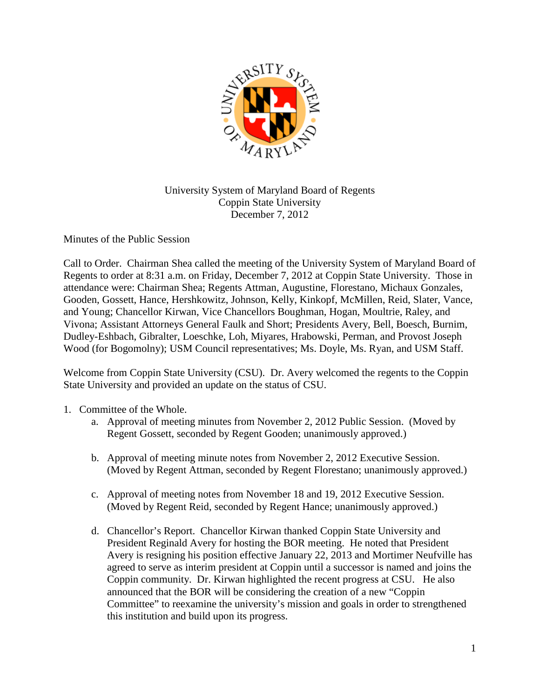

## University System of Maryland Board of Regents Coppin State University December 7, 2012

Minutes of the Public Session

Call to Order. Chairman Shea called the meeting of the University System of Maryland Board of Regents to order at 8:31 a.m. on Friday, December 7, 2012 at Coppin State University. Those in attendance were: Chairman Shea; Regents Attman, Augustine, Florestano, Michaux Gonzales, Gooden, Gossett, Hance, Hershkowitz, Johnson, Kelly, Kinkopf, McMillen, Reid, Slater, Vance, and Young; Chancellor Kirwan, Vice Chancellors Boughman, Hogan, Moultrie, Raley, and Vivona; Assistant Attorneys General Faulk and Short; Presidents Avery, Bell, Boesch, Burnim, Dudley-Eshbach, Gibralter, Loeschke, Loh, Miyares, Hrabowski, Perman, and Provost Joseph Wood (for Bogomolny); USM Council representatives; Ms. Doyle, Ms. Ryan, and USM Staff.

Welcome from Coppin State University (CSU). Dr. Avery welcomed the regents to the Coppin State University and provided an update on the status of CSU.

- 1. Committee of the Whole.
	- a. Approval of meeting minutes from November 2, 2012 Public Session. (Moved by Regent Gossett, seconded by Regent Gooden; unanimously approved.)
	- b. Approval of meeting minute notes from November 2, 2012 Executive Session. (Moved by Regent Attman, seconded by Regent Florestano; unanimously approved.)
	- c. Approval of meeting notes from November 18 and 19, 2012 Executive Session. (Moved by Regent Reid, seconded by Regent Hance; unanimously approved.)
	- d. Chancellor's Report. Chancellor Kirwan thanked Coppin State University and President Reginald Avery for hosting the BOR meeting. He noted that President Avery is resigning his position effective January 22, 2013 and Mortimer Neufville has agreed to serve as interim president at Coppin until a successor is named and joins the Coppin community. Dr. Kirwan highlighted the recent progress at CSU. He also announced that the BOR will be considering the creation of a new "Coppin Committee" to reexamine the university's mission and goals in order to strengthened this institution and build upon its progress.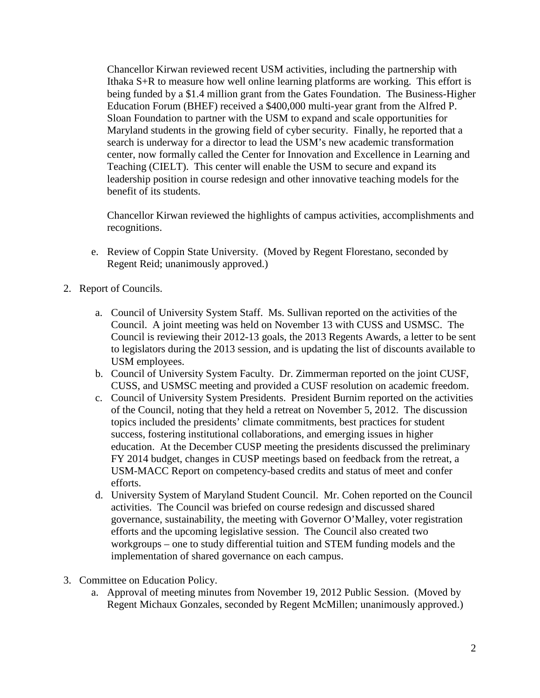Chancellor Kirwan reviewed recent USM activities, including the partnership with Ithaka S+R to measure how well online learning platforms are working. This effort is being funded by a \$1.4 million grant from the Gates Foundation. The Business-Higher Education Forum (BHEF) received a \$400,000 multi-year grant from the Alfred P. Sloan Foundation to partner with the USM to expand and scale opportunities for Maryland students in the growing field of cyber security. Finally, he reported that a search is underway for a director to lead the USM's new academic transformation center, now formally called the Center for Innovation and Excellence in Learning and Teaching (CIELT). This center will enable the USM to secure and expand its leadership position in course redesign and other innovative teaching models for the benefit of its students.

Chancellor Kirwan reviewed the highlights of campus activities, accomplishments and recognitions.

- e. Review of Coppin State University. (Moved by Regent Florestano, seconded by Regent Reid; unanimously approved.)
- 2. Report of Councils.
	- a. Council of University System Staff. Ms. Sullivan reported on the activities of the Council. A joint meeting was held on November 13 with CUSS and USMSC. The Council is reviewing their 2012-13 goals, the 2013 Regents Awards, a letter to be sent to legislators during the 2013 session, and is updating the list of discounts available to USM employees.
	- b. Council of University System Faculty. Dr. Zimmerman reported on the joint CUSF, CUSS, and USMSC meeting and provided a CUSF resolution on academic freedom.
	- c. Council of University System Presidents. President Burnim reported on the activities of the Council, noting that they held a retreat on November 5, 2012. The discussion topics included the presidents' climate commitments, best practices for student success, fostering institutional collaborations, and emerging issues in higher education. At the December CUSP meeting the presidents discussed the preliminary FY 2014 budget, changes in CUSP meetings based on feedback from the retreat, a USM-MACC Report on competency-based credits and status of meet and confer efforts.
	- d. University System of Maryland Student Council. Mr. Cohen reported on the Council activities. The Council was briefed on course redesign and discussed shared governance, sustainability, the meeting with Governor O'Malley, voter registration efforts and the upcoming legislative session. The Council also created two workgroups – one to study differential tuition and STEM funding models and the implementation of shared governance on each campus.
- 3. Committee on Education Policy.
	- a. Approval of meeting minutes from November 19, 2012 Public Session. (Moved by Regent Michaux Gonzales, seconded by Regent McMillen; unanimously approved.)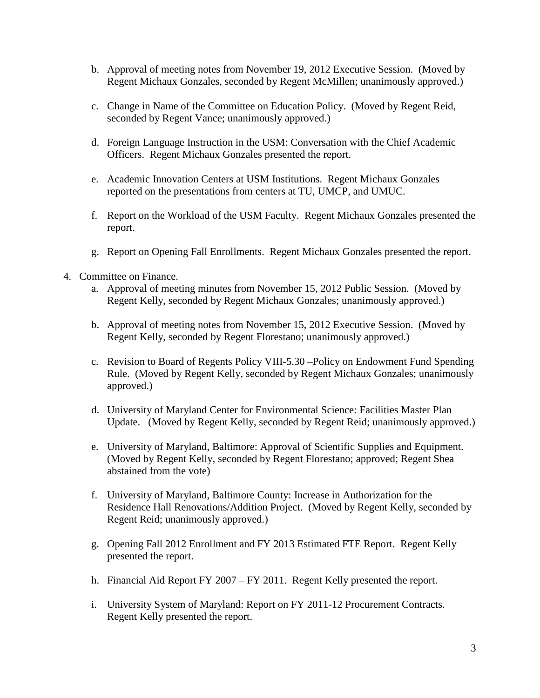- b. Approval of meeting notes from November 19, 2012 Executive Session. (Moved by Regent Michaux Gonzales, seconded by Regent McMillen; unanimously approved.)
- c. Change in Name of the Committee on Education Policy. (Moved by Regent Reid, seconded by Regent Vance; unanimously approved.)
- d. Foreign Language Instruction in the USM: Conversation with the Chief Academic Officers. Regent Michaux Gonzales presented the report.
- e. Academic Innovation Centers at USM Institutions. Regent Michaux Gonzales reported on the presentations from centers at TU, UMCP, and UMUC.
- f. Report on the Workload of the USM Faculty. Regent Michaux Gonzales presented the report.
- g. Report on Opening Fall Enrollments. Regent Michaux Gonzales presented the report.
- 4. Committee on Finance.
	- a. Approval of meeting minutes from November 15, 2012 Public Session. (Moved by Regent Kelly, seconded by Regent Michaux Gonzales; unanimously approved.)
	- b. Approval of meeting notes from November 15, 2012 Executive Session. (Moved by Regent Kelly, seconded by Regent Florestano; unanimously approved.)
	- c. Revision to Board of Regents Policy VIII-5.30 –Policy on Endowment Fund Spending Rule. (Moved by Regent Kelly, seconded by Regent Michaux Gonzales; unanimously approved.)
	- d. University of Maryland Center for Environmental Science: Facilities Master Plan Update. (Moved by Regent Kelly, seconded by Regent Reid; unanimously approved.)
	- e. University of Maryland, Baltimore: Approval of Scientific Supplies and Equipment. (Moved by Regent Kelly, seconded by Regent Florestano; approved; Regent Shea abstained from the vote)
	- f. University of Maryland, Baltimore County: Increase in Authorization for the Residence Hall Renovations/Addition Project. (Moved by Regent Kelly, seconded by Regent Reid; unanimously approved.)
	- g. Opening Fall 2012 Enrollment and FY 2013 Estimated FTE Report. Regent Kelly presented the report.
	- h. Financial Aid Report FY 2007 FY 2011. Regent Kelly presented the report.
	- i. University System of Maryland: Report on FY 2011-12 Procurement Contracts. Regent Kelly presented the report.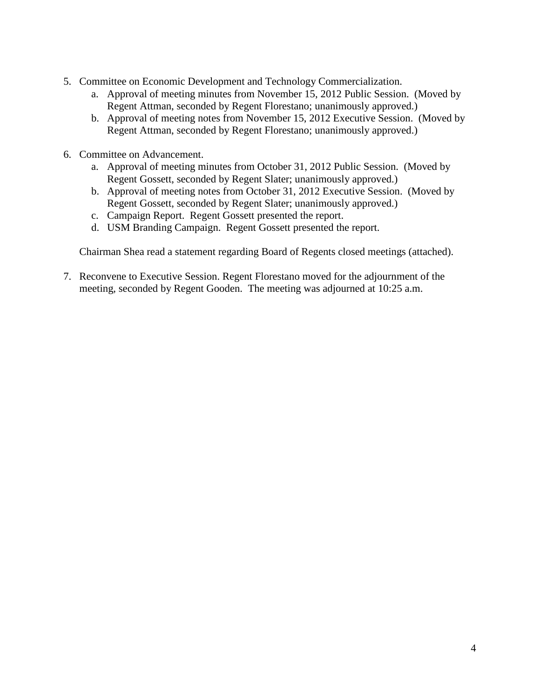- 5. Committee on Economic Development and Technology Commercialization.
	- a. Approval of meeting minutes from November 15, 2012 Public Session. (Moved by Regent Attman, seconded by Regent Florestano; unanimously approved.)
	- b. Approval of meeting notes from November 15, 2012 Executive Session. (Moved by Regent Attman, seconded by Regent Florestano; unanimously approved.)
- 6. Committee on Advancement.
	- a. Approval of meeting minutes from October 31, 2012 Public Session. (Moved by Regent Gossett, seconded by Regent Slater; unanimously approved.)
	- b. Approval of meeting notes from October 31, 2012 Executive Session. (Moved by Regent Gossett, seconded by Regent Slater; unanimously approved.)
	- c. Campaign Report. Regent Gossett presented the report.
	- d. USM Branding Campaign. Regent Gossett presented the report.

Chairman Shea read a statement regarding Board of Regents closed meetings (attached).

7. Reconvene to Executive Session. Regent Florestano moved for the adjournment of the meeting, seconded by Regent Gooden. The meeting was adjourned at 10:25 a.m.